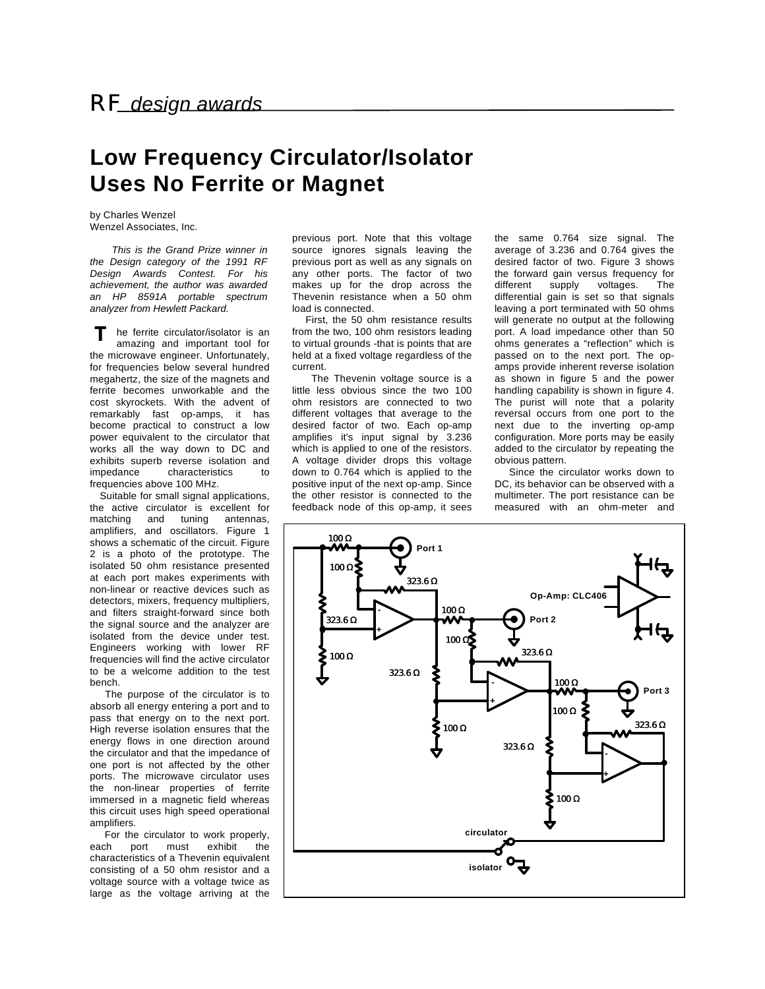## **Low Frequency Circulator/Isolator Uses No Ferrite or Magnet**

by Charles Wenzel Wenzel Associates, Inc.

 *This is the Grand Prize winner in the Design category of the 1991 RF Design Awards Contest. For his achievement, the author was awarded an HP 8591A portable spectrum analyzer from Hewlett Packard.*

he ferrite circulator/isolator is an amazing and important tool for the microwave engineer. Unfortunately, for frequencies below several hundred megahertz, the size of the magnets and ferrite becomes unworkable and the cost skyrockets. With the advent of remarkably fast op-amps, it has become practical to construct a low power equivalent to the circulator that works all the way down to DC and exhibits superb reverse isolation and impedance characteristics to frequencies above 100 MHz. **T**

 Suitable for small signal applications, the active circulator is excellent for matching and tuning antennas, amplifiers, and oscillators. Figure 1 shows a schematic of the circuit. Figure 2 is a photo of the prototype. The isolated 50 ohm resistance presented at each port makes experiments with non-linear or reactive devices such as detectors, mixers, frequency multipliers, and filters straight-forward since both the signal source and the analyzer are isolated from the device under test. Engineers working with lower RF frequencies will find the active circulator to be a welcome addition to the test bench.

 The purpose of the circulator is to absorb all energy entering a port and to pass that energy on to the next port. High reverse isolation ensures that the energy flows in one direction around the circulator and that the impedance of one port is not affected by the other ports. The microwave circulator uses the non-linear properties of ferrite immersed in a magnetic field whereas this circuit uses high speed operational amplifiers.

 For the circulator to work properly, each port must exhibit the characteristics of a Thevenin equivalent consisting of a 50 ohm resistor and a voltage source with a voltage twice as large as the voltage arriving at the

previous port. Note that this voltage source ignores signals leaving the previous port as well as any signals on any other ports. The factor of two makes up for the drop across the Thevenin resistance when a 50 ohm load is connected.

 First, the 50 ohm resistance results from the two, 100 ohm resistors leading to virtual grounds -that is points that are held at a fixed voltage regardless of the current.

 The Thevenin voltage source is a little less obvious since the two 100 ohm resistors are connected to two different voltages that average to the desired factor of two. Each op-amp amplifies it's input signal by 3.236 which is applied to one of the resistors. A voltage divider drops this voltage down to 0.764 which is applied to the positive input of the next op-amp. Since the other resistor is connected to the feedback node of this op-amp, it sees

the same 0.764 size signal. The average of 3.236 and 0.764 gives the desired factor of two. Figure 3 shows the forward gain versus frequency for different supply voltages. The differential gain is set so that signals leaving a port terminated with 50 ohms will generate no output at the following port. A load impedance other than 50 ohms generates a "reflection" which is passed on to the next port. The opamps provide inherent reverse isolation as shown in figure 5 and the power handling capability is shown in figure 4. The purist will note that a polarity reversal occurs from one port to the next due to the inverting op-amp configuration. More ports may be easily added to the circulator by repeating the obvious pattern.

 Since the circulator works down to DC, its behavior can be observed with a multimeter. The port resistance can be measured with an ohm-meter and

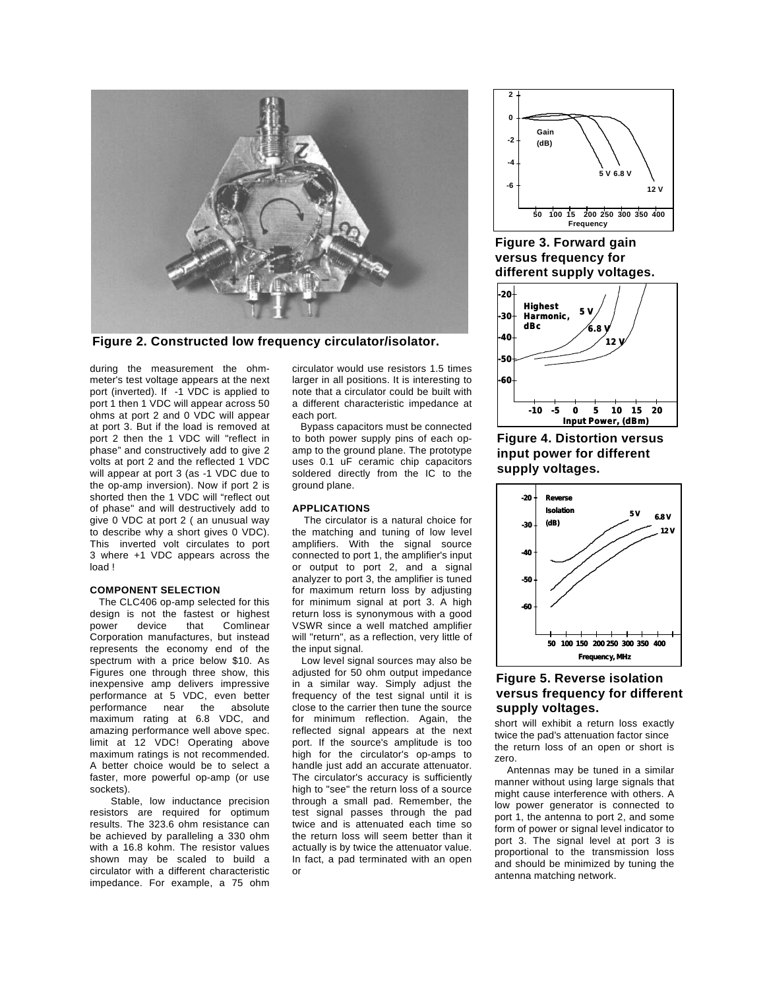

**Figure 2. Constructed low frequency circulator/isolator.**

during the measurement the ohmmeter's test voltage appears at the next port (inverted). If -1 VDC is applied to port 1 then 1 VDC will appear across 50 ohms at port 2 and 0 VDC will appear at port 3. But if the load is removed at port 2 then the 1 VDC will "reflect in phase" and constructively add to give 2 volts at port 2 and the reflected 1 VDC will appear at port 3 (as -1 VDC due to the op-amp inversion). Now if port 2 is shorted then the 1 VDC will "reflect out of phase" and will destructively add to give 0 VDC at port 2 ( an unusual way to describe why a short gives 0 VDC). This inverted volt circulates to port 3 where +1 VDC appears across the load !

## **COMPONENT SELECTION**

 The CLC406 op-amp selected for this design is not the fastest or highest power device that Comlinear Corporation manufactures, but instead represents the economy end of the spectrum with a price below \$10. As Figures one through three show, this inexpensive amp delivers impressive performance at 5 VDC, even better performance near the absolute maximum rating at 6.8 VDC, and amazing performance well above spec. limit at 12 VDC! Operating above maximum ratings is not recommended. A better choice would be to select a faster, more powerful op-amp (or use sockets).

 Stable, low inductance precision resistors are required for optimum results. The 323.6 ohm resistance can be achieved by paralleling a 330 ohm with a 16.8 kohm. The resistor values shown may be scaled to build a circulator with a different characteristic impedance. For example, a 75 ohm

circulator would use resistors 1.5 times larger in all positions. It is interesting to note that a circulator could be built with a different characteristic impedance at each port.

 Bypass capacitors must be connected to both power supply pins of each opamp to the ground plane. The prototype uses 0.1 uF ceramic chip capacitors soldered directly from the IC to the ground plane.

## **APPLICATIONS**

 The circulator is a natural choice for the matching and tuning of low level amplifiers. With the signal source connected to port 1, the amplifier's input or output to port 2, and a signal analyzer to port 3, the amplifier is tuned for maximum return loss by adjusting for minimum signal at port 3. A high return loss is synonymous with a good VSWR since a well matched amplifier will "return", as a reflection, very little of the input signal.

 Low level signal sources may also be adjusted for 50 ohm output impedance in a similar way. Simply adjust the frequency of the test signal until it is close to the carrier then tune the source for minimum reflection. Again, the reflected signal appears at the next port. If the source's amplitude is too high for the circulator's op-amps to handle just add an accurate attenuator. The circulator's accuracy is sufficiently high to "see" the return loss of a source through a small pad. Remember, the test signal passes through the pad twice and is attenuated each time so the return loss will seem better than it actually is by twice the attenuator value. In fact, a pad terminated with an open or



**Figure 3. Forward gain versus frequency for different supply voltages.**



**Figure 4. Distortion versus input power for different supply voltages.**



## **Figure 5. Reverse isolation versus frequency for different supply voltages.**

short will exhibit a return loss exactly twice the pad's attenuation factor since the return loss of an open or short is zero.

 Antennas may be tuned in a similar manner without using large signals that might cause interference with others. A low power generator is connected to port 1, the antenna to port 2, and some form of power or signal level indicator to port 3. The signal level at port 3 is proportional to the transmission loss and should be minimized by tuning the antenna matching network.